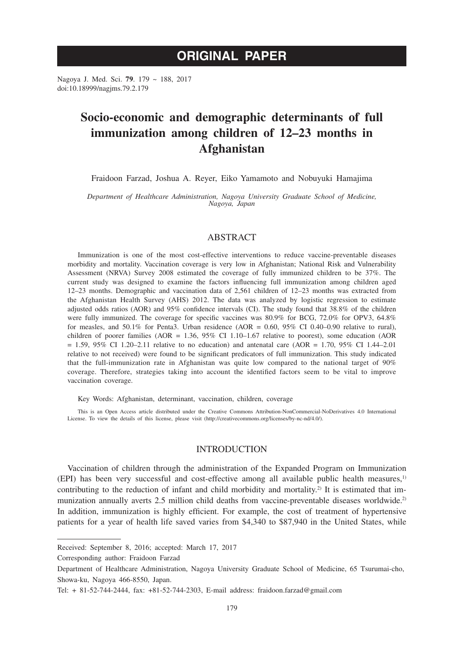# **ORIGINAL PAPER**

Nagoya J. Med. Sci. **79**. 179 ~ 188, 2017 doi:10.18999/nagjms.79.2.179

# **Socio-economic and demographic determinants of full immunization among children of 12–23 months in Afghanistan**

Fraidoon Farzad, Joshua A. Reyer, Eiko Yamamoto and Nobuyuki Hamajima

*Department of Healthcare Administration, Nagoya University Graduate School of Medicine, Nagoya, Japan*

## ABSTRACT

Immunization is one of the most cost-effective interventions to reduce vaccine-preventable diseases morbidity and mortality. Vaccination coverage is very low in Afghanistan; National Risk and Vulnerability Assessment (NRVA) Survey 2008 estimated the coverage of fully immunized children to be 37%. The current study was designed to examine the factors influencing full immunization among children aged 12–23 months. Demographic and vaccination data of 2,561 children of 12–23 months was extracted from the Afghanistan Health Survey (AHS) 2012. The data was analyzed by logistic regression to estimate adjusted odds ratios (AOR) and 95% confidence intervals (CI). The study found that 38.8% of the children were fully immunized. The coverage for specific vaccines was 80.9% for BCG, 72.0% for OPV3, 64.8% for measles, and 50.1% for Penta3. Urban residence (AOR =  $0.60$ , 95% CI 0.40–0.90 relative to rural), children of poorer families (AOR = 1.36, 95% CI 1.10–1.67 relative to poorest), some education (AOR  $= 1.59, 95\%$  CI 1.20–2.11 relative to no education) and antenatal care (AOR = 1.70, 95% CI 1.44–2.01 relative to not received) were found to be significant predicators of full immunization. This study indicated that the full-immunization rate in Afghanistan was quite low compared to the national target of 90% coverage. Therefore, strategies taking into account the identified factors seem to be vital to improve vaccination coverage.

Key Words: Afghanistan, determinant, vaccination, children, coverage

This is an Open Access article distributed under the Creative Commons Attribution-NonCommercial-NoDerivatives 4.0 International License. To view the details of this license, please visit (http://creativecommons.org/licenses/by-nc-nd/4.0/).

## INTRODUCTION

Vaccination of children through the administration of the Expanded Program on Immunization (EPI) has been very successful and cost-effective among all available public health measures,1) contributing to the reduction of infant and child morbidity and mortality.<sup>2)</sup> It is estimated that immunization annually averts 2.5 million child deaths from vaccine-preventable diseases worldwide.<sup>2)</sup> In addition, immunization is highly efficient. For example, the cost of treatment of hypertensive patients for a year of health life saved varies from \$4,340 to \$87,940 in the United States, while

Received: September 8, 2016; accepted: March 17, 2017

Corresponding author: Fraidoon Farzad

Department of Healthcare Administration, Nagoya University Graduate School of Medicine, 65 Tsurumai-cho, Showa-ku, Nagoya 466-8550, Japan.

Tel: + 81-52-744-2444, fax: +81-52-744-2303, E-mail address: fraidoon.farzad@gmail.com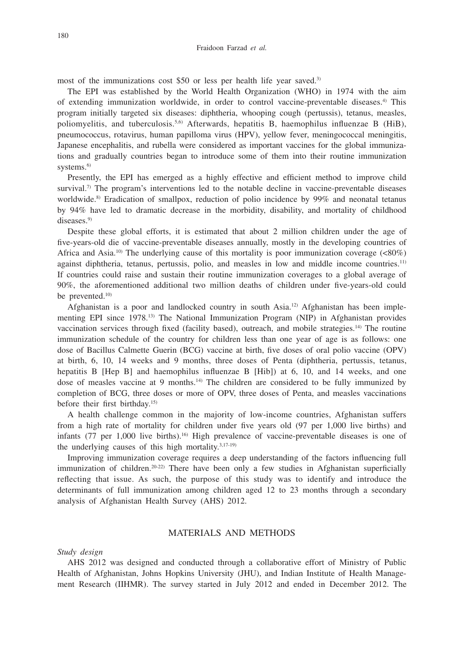most of the immunizations cost \$50 or less per health life year saved.<sup>3)</sup>

The EPI was established by the World Health Organization (WHO) in 1974 with the aim of extending immunization worldwide, in order to control vaccine-preventable diseases.4) This program initially targeted six diseases: diphtheria, whooping cough (pertussis), tetanus, measles, poliomyelitis, and tuberculosis.<sup>5,6)</sup> Afterwards, hepatitis B, haemophilus influenzae B (HiB), pneumococcus, rotavirus, human papilloma virus (HPV), yellow fever, meningococcal meningitis, Japanese encephalitis, and rubella were considered as important vaccines for the global immunizations and gradually countries began to introduce some of them into their routine immunization systems.<sup>6)</sup>

Presently, the EPI has emerged as a highly effective and efficient method to improve child survival.<sup>7)</sup> The program's interventions led to the notable decline in vaccine-preventable diseases worldwide.<sup>8)</sup> Eradication of smallpox, reduction of polio incidence by 99% and neonatal tetanus by 94% have led to dramatic decrease in the morbidity, disability, and mortality of childhood diseases.<sup>9)</sup>

Despite these global efforts, it is estimated that about 2 million children under the age of five-years-old die of vaccine-preventable diseases annually, mostly in the developing countries of Africa and Asia.<sup>10)</sup> The underlying cause of this mortality is poor immunization coverage  $\langle \langle 80\% \rangle$ against diphtheria, tetanus, pertussis, polio, and measles in low and middle income countries.11) If countries could raise and sustain their routine immunization coverages to a global average of 90%, the aforementioned additional two million deaths of children under five-years-old could be prevented.<sup>10)</sup>

Afghanistan is a poor and landlocked country in south Asia.12) Afghanistan has been implementing EPI since 1978.13) The National Immunization Program (NIP) in Afghanistan provides vaccination services through fixed (facility based), outreach, and mobile strategies.<sup>14)</sup> The routine immunization schedule of the country for children less than one year of age is as follows: one dose of Bacillus Calmette Guerin (BCG) vaccine at birth, five doses of oral polio vaccine (OPV) at birth, 6, 10, 14 weeks and 9 months, three doses of Penta (diphtheria, pertussis, tetanus, hepatitis B [Hep B] and haemophilus influenzae B [Hib]) at 6, 10, and 14 weeks, and one dose of measles vaccine at 9 months.<sup>14</sup> The children are considered to be fully immunized by completion of BCG, three doses or more of OPV, three doses of Penta, and measles vaccinations before their first birthday.15)

A health challenge common in the majority of low-income countries, Afghanistan suffers from a high rate of mortality for children under five years old (97 per 1,000 live births) and infants (77 per 1,000 live births).<sup>16</sup> High prevalence of vaccine-preventable diseases is one of the underlying causes of this high mortality. $3,17-19$ )

Improving immunization coverage requires a deep understanding of the factors influencing full immunization of children.<sup>20-22)</sup> There have been only a few studies in Afghanistan superficially reflecting that issue. As such, the purpose of this study was to identify and introduce the determinants of full immunization among children aged 12 to 23 months through a secondary analysis of Afghanistan Health Survey (AHS) 2012.

# MATERIALS AND METHODS

## *Study design*

AHS 2012 was designed and conducted through a collaborative effort of Ministry of Public Health of Afghanistan, Johns Hopkins University (JHU), and Indian Institute of Health Management Research (IIHMR). The survey started in July 2012 and ended in December 2012. The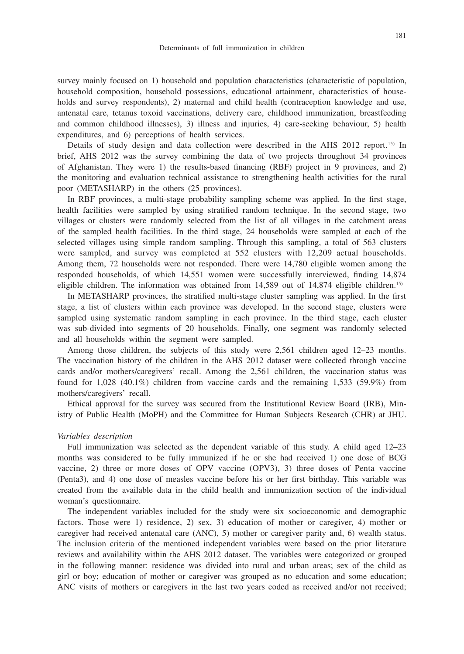survey mainly focused on 1) household and population characteristics (characteristic of population, household composition, household possessions, educational attainment, characteristics of households and survey respondents), 2) maternal and child health (contraception knowledge and use, antenatal care, tetanus toxoid vaccinations, delivery care, childhood immunization, breastfeeding and common childhood illnesses), 3) illness and injuries, 4) care-seeking behaviour, 5) health expenditures, and 6) perceptions of health services.

Details of study design and data collection were described in the AHS 2012 report.<sup>15)</sup> In brief, AHS 2012 was the survey combining the data of two projects throughout 34 provinces of Afghanistan. They were 1) the results-based financing (RBF) project in 9 provinces, and 2) the monitoring and evaluation technical assistance to strengthening health activities for the rural poor (METASHARP) in the others (25 provinces).

In RBF provinces, a multi-stage probability sampling scheme was applied. In the first stage, health facilities were sampled by using stratified random technique. In the second stage, two villages or clusters were randomly selected from the list of all villages in the catchment areas of the sampled health facilities. In the third stage, 24 households were sampled at each of the selected villages using simple random sampling. Through this sampling, a total of 563 clusters were sampled, and survey was completed at 552 clusters with 12,209 actual households. Among them, 72 households were not responded. There were 14,780 eligible women among the responded households, of which 14,551 women were successfully interviewed, finding 14,874 eligible children. The information was obtained from 14,589 out of 14,874 eligible children.<sup>15)</sup>

In METASHARP provinces, the stratified multi-stage cluster sampling was applied. In the first stage, a list of clusters within each province was developed. In the second stage, clusters were sampled using systematic random sampling in each province. In the third stage, each cluster was sub-divided into segments of 20 households. Finally, one segment was randomly selected and all households within the segment were sampled.

Among those children, the subjects of this study were 2,561 children aged 12–23 months. The vaccination history of the children in the AHS 2012 dataset were collected through vaccine cards and/or mothers/caregivers' recall. Among the 2,561 children, the vaccination status was found for 1,028 (40.1%) children from vaccine cards and the remaining 1,533 (59.9%) from mothers/caregivers' recall.

Ethical approval for the survey was secured from the Institutional Review Board (IRB), Ministry of Public Health (MoPH) and the Committee for Human Subjects Research (CHR) at JHU.

#### *Variables description*

Full immunization was selected as the dependent variable of this study. A child aged 12–23 months was considered to be fully immunized if he or she had received 1) one dose of BCG vaccine, 2) three or more doses of OPV vaccine (OPV3), 3) three doses of Penta vaccine (Penta3), and 4) one dose of measles vaccine before his or her first birthday. This variable was created from the available data in the child health and immunization section of the individual woman's questionnaire.

The independent variables included for the study were six socioeconomic and demographic factors. Those were 1) residence, 2) sex, 3) education of mother or caregiver, 4) mother or caregiver had received antenatal care (ANC), 5) mother or caregiver parity and, 6) wealth status. The inclusion criteria of the mentioned independent variables were based on the prior literature reviews and availability within the AHS 2012 dataset. The variables were categorized or grouped in the following manner: residence was divided into rural and urban areas; sex of the child as girl or boy; education of mother or caregiver was grouped as no education and some education; ANC visits of mothers or caregivers in the last two years coded as received and/or not received;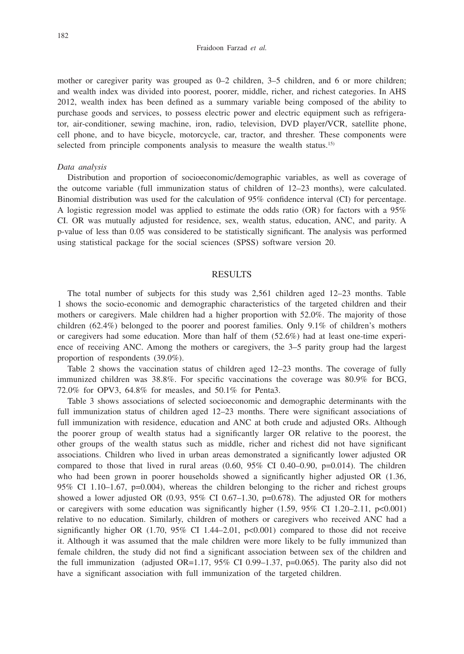mother or caregiver parity was grouped as  $0-2$  children,  $3-5$  children, and 6 or more children; and wealth index was divided into poorest, poorer, middle, richer, and richest categories. In AHS 2012, wealth index has been defined as a summary variable being composed of the ability to purchase goods and services, to possess electric power and electric equipment such as refrigerator, air-conditioner, sewing machine, iron, radio, television, DVD player/VCR, satellite phone, cell phone, and to have bicycle, motorcycle, car, tractor, and thresher. These components were selected from principle components analysis to measure the wealth status.<sup>15)</sup>

#### *Data analysis*

Distribution and proportion of socioeconomic/demographic variables, as well as coverage of the outcome variable (full immunization status of children of 12–23 months), were calculated. Binomial distribution was used for the calculation of 95% confidence interval (CI) for percentage. A logistic regression model was applied to estimate the odds ratio (OR) for factors with a 95% CI. OR was mutually adjusted for residence, sex, wealth status, education, ANC, and parity. A p-value of less than 0.05 was considered to be statistically significant. The analysis was performed using statistical package for the social sciences (SPSS) software version 20.

# RESULTS

The total number of subjects for this study was 2,561 children aged 12–23 months. Table 1 shows the socio-economic and demographic characteristics of the targeted children and their mothers or caregivers. Male children had a higher proportion with 52.0%. The majority of those children (62.4%) belonged to the poorer and poorest families. Only 9.1% of children's mothers or caregivers had some education. More than half of them (52.6%) had at least one-time experience of receiving ANC. Among the mothers or caregivers, the 3–5 parity group had the largest proportion of respondents (39.0%).

Table 2 shows the vaccination status of children aged 12–23 months. The coverage of fully immunized children was 38.8%. For specific vaccinations the coverage was 80.9% for BCG, 72.0% for OPV3, 64.8% for measles, and 50.1% for Penta3.

Table 3 shows associations of selected socioeconomic and demographic determinants with the full immunization status of children aged 12–23 months. There were significant associations of full immunization with residence, education and ANC at both crude and adjusted ORs. Although the poorer group of wealth status had a significantly larger OR relative to the poorest, the other groups of the wealth status such as middle, richer and richest did not have significant associations. Children who lived in urban areas demonstrated a significantly lower adjusted OR compared to those that lived in rural areas  $(0.60, 95\% \text{ CI } 0.40-0.90, \text{ p=0.014}).$  The children who had been grown in poorer households showed a significantly higher adjusted OR (1.36, 95% CI 1.10–1.67,  $p=0.004$ ), whereas the children belonging to the richer and richest groups showed a lower adjusted OR (0.93, 95% CI 0.67–1.30, p=0.678). The adjusted OR for mothers or caregivers with some education was significantly higher  $(1.59, 95\% \text{ CI } 1.20-2.11, \text{ p} < 0.001)$ relative to no education. Similarly, children of mothers or caregivers who received ANC had a significantly higher OR  $(1.70, 95\% \text{ CI } 1.44-2.01, \text{ p} < 0.001)$  compared to those did not receive it. Although it was assumed that the male children were more likely to be fully immunized than female children, the study did not find a significant association between sex of the children and the full immunization (adjusted OR=1.17, 95% CI 0.99–1.37, p=0.065). The parity also did not have a significant association with full immunization of the targeted children.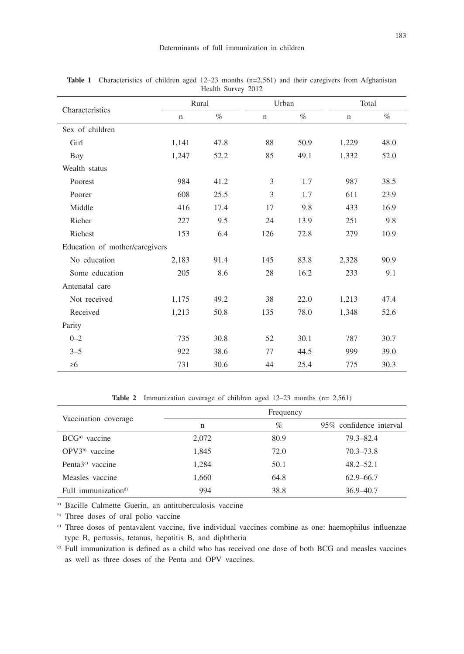| $H$ canii $\Delta$ uivcy $2012$ |             |      |             |      |             |      |  |  |
|---------------------------------|-------------|------|-------------|------|-------------|------|--|--|
| Characteristics                 | Rural       |      | Urban       |      | Total       |      |  |  |
|                                 | $\mathbf n$ | $\%$ | $\mathbf n$ | $\%$ | $\mathbf n$ | $\%$ |  |  |
| Sex of children                 |             |      |             |      |             |      |  |  |
| Girl                            | 1,141       | 47.8 | 88          | 50.9 | 1,229       | 48.0 |  |  |
| Boy                             | 1,247       | 52.2 | 85          | 49.1 | 1,332       | 52.0 |  |  |
| Wealth status                   |             |      |             |      |             |      |  |  |
| Poorest                         | 984         | 41.2 | 3           | 1.7  | 987         | 38.5 |  |  |
| Poorer                          | 608         | 25.5 | 3           | 1.7  | 611         | 23.9 |  |  |
| Middle                          | 416         | 17.4 | 17          | 9.8  | 433         | 16.9 |  |  |
| Richer                          | 227         | 9.5  | 24          | 13.9 | 251         | 9.8  |  |  |
| Richest                         | 153         | 6.4  | 126         | 72.8 | 279         | 10.9 |  |  |
| Education of mother/caregivers  |             |      |             |      |             |      |  |  |
| No education                    | 2,183       | 91.4 | 145         | 83.8 | 2,328       | 90.9 |  |  |
| Some education                  | 205         | 8.6  | 28          | 16.2 | 233         | 9.1  |  |  |
| Antenatal care                  |             |      |             |      |             |      |  |  |
| Not received                    | 1,175       | 49.2 | 38          | 22.0 | 1,213       | 47.4 |  |  |
| Received                        | 1,213       | 50.8 | 135         | 78.0 | 1,348       | 52.6 |  |  |
| Parity                          |             |      |             |      |             |      |  |  |
| $0 - 2$                         | 735         | 30.8 | 52          | 30.1 | 787         | 30.7 |  |  |
| $3 - 5$                         | 922         | 38.6 | 77          | 44.5 | 999         | 39.0 |  |  |
| $\geq 6$                        | 731         | 30.6 | 44          | 25.4 | 775         | 30.3 |  |  |

**Table 1** Characteristics of children aged 12–23 months (n=2,561) and their caregivers from Afghanistan Health Survey 2012

Table 2 Immunization coverage of children aged 12–23 months (n= 2,561)

| Vaccination coverage            |       |      |                         |
|---------------------------------|-------|------|-------------------------|
|                                 | n     | $\%$ | 95% confidence interval |
| $BCGa)$ vaccine                 | 2,072 | 80.9 | $79.3 - 82.4$           |
| $OPV3b)$ vaccine                | 1,845 | 72.0 | $70.3 - 73.8$           |
| Penta $3^{\circ}$ vaccine       | 1,284 | 50.1 | $48.2 - 52.1$           |
| Measles vaccine                 | 1,660 | 64.8 | $62.9 - 66.7$           |
| Full immunization <sup>d)</sup> | 994   | 38.8 | $36.9 - 40.7$           |

a) Bacille Calmette Guerin, an antituberculosis vaccine

b) Three doses of oral polio vaccine

c) Three doses of pentavalent vaccine, five individual vaccines combine as one: haemophilus influenzae type B, pertussis, tetanus, hepatitis B, and diphtheria

d) Full immunization is defined as a child who has received one dose of both BCG and measles vaccines as well as three doses of the Penta and OPV vaccines.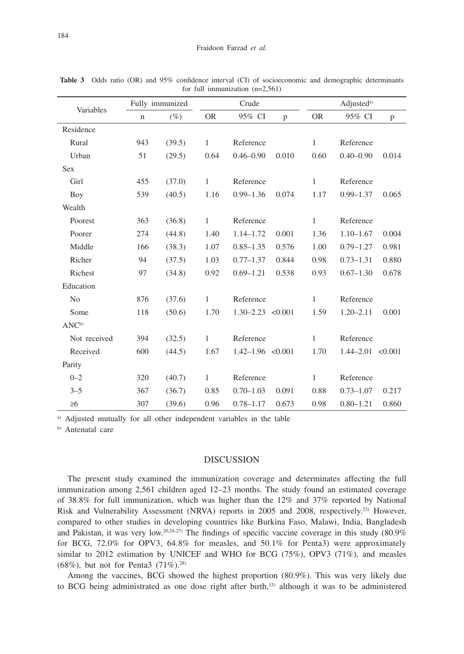| Variables         |             | Fully immunized |              | Crude                 |       |              | Adjusted <sup>a)</sup> |       |  |
|-------------------|-------------|-----------------|--------------|-----------------------|-------|--------------|------------------------|-------|--|
|                   | $\mathbf n$ | $(\%)$          | <b>OR</b>    | 95% CI                | p     | <b>OR</b>    | 95% CI                 | p     |  |
| Residence         |             |                 |              |                       |       |              |                        |       |  |
| Rural             | 943         | (39.5)          | 1            | Reference             |       | $\mathbf{1}$ | Reference              |       |  |
| Urban             | 51          | (29.5)          | 0.64         | $0.46 - 0.90$         | 0.010 | 0.60         | $0.40 - 0.90$          | 0.014 |  |
| <b>Sex</b>        |             |                 |              |                       |       |              |                        |       |  |
| Girl              | 455         | (37.0)          | $\mathbf{1}$ | Reference             |       | $\mathbf{1}$ | Reference              |       |  |
| Boy               | 539         | (40.5)          | 1.16         | $0.99 - 1.36$         | 0.074 | 1.17         | $0.99 - 1.37$          | 0.065 |  |
| Wealth            |             |                 |              |                       |       |              |                        |       |  |
| Poorest           | 363         | (36.8)          | 1            | Reference             |       | $\mathbf{1}$ | Reference              |       |  |
| Poorer            | 274         | (44.8)          | 1.40         | $1.14 - 1.72$         | 0.001 | 1.36         | $1.10 - 1.67$          | 0.004 |  |
| Middle            | 166         | (38.3)          | 1.07         | $0.85 - 1.35$         | 0.576 | 1.00         | $0.79 - 1.27$          | 0.981 |  |
| Richer            | 94          | (37.5)          | 1.03         | $0.77 - 1.37$         | 0.844 | 0.98         | $0.73 - 1.31$          | 0.880 |  |
| Richest           | 97          | (34.8)          | 0.92         | $0.69 - 1.21$         | 0.538 | 0.93         | $0.67 - 1.30$          | 0.678 |  |
| Education         |             |                 |              |                       |       |              |                        |       |  |
| N <sub>0</sub>    | 876         | (37.6)          | $\mathbf{1}$ | Reference             |       | $\mathbf{1}$ | Reference              |       |  |
| Some              | 118         | (50.6)          | 1.70         | $1.30 - 2.23$ < 0.001 |       | 1.59         | $1.20 - 2.11$          | 0.001 |  |
| ANC <sup>b)</sup> |             |                 |              |                       |       |              |                        |       |  |
| Not received      | 394         | (32.5)          | $\mathbf{1}$ | Reference             |       | $\mathbf{1}$ | Reference              |       |  |
| Received          | 600         | (44.5)          | 1.67         | $1.42 - 1.96$ < 0.001 |       | 1.70         | $1.44 - 2.01$ < 0.001  |       |  |
| Parity            |             |                 |              |                       |       |              |                        |       |  |
| $0 - 2$           | 320         | (40.7)          | 1            | Reference             |       | $\mathbf{1}$ | Reference              |       |  |
| $3 - 5$           | 367         | (36.7)          | 0.85         | $0.70 - 1.03$         | 0.091 | 0.88         | $0.73 - 1.07$          | 0.217 |  |
| $\geq 6$          | 307         | (39.6)          | 0.96         | $0.78 - 1.17$         | 0.673 | 0.98         | $0.80 - 1.21$          | 0.860 |  |

**Table 3** Odds ratio (OR) and 95% confidence interval (CI) of socioeconomic and demographic determinants for full immunization (n=2,561)

a) Adjusted mutually for all other independent variables in the table

b) Antenatal care

## DISCUSSION

The present study examined the immunization coverage and determinates affecting the full immunization among 2,561 children aged 12–23 months. The study found an estimated coverage of 38.8% for full immunization, which was higher than the 12% and 37% reported by National Risk and Vulnerability Assessment (NRVA) reports in 2005 and 2008, respectively.23) However, compared to other studies in developing countries like Burkina Faso, Malawi, India, Bangladesh and Pakistan, it was very low.<sup>20,24-27)</sup> The findings of specific vaccine coverage in this study  $(80.9\%$ for BCG, 72.0% for OPV3, 64.8% for measles, and 50.1% for Penta3) were approximately similar to 2012 estimation by UNICEF and WHO for BCG (75%), OPV3 (71%), and measles (68%), but not for Penta3  $(71\%)$ .<sup>28)</sup>

Among the vaccines, BCG showed the highest proportion (80.9%). This was very likely due to BCG being administrated as one dose right after birth,<sup>15)</sup> although it was to be administered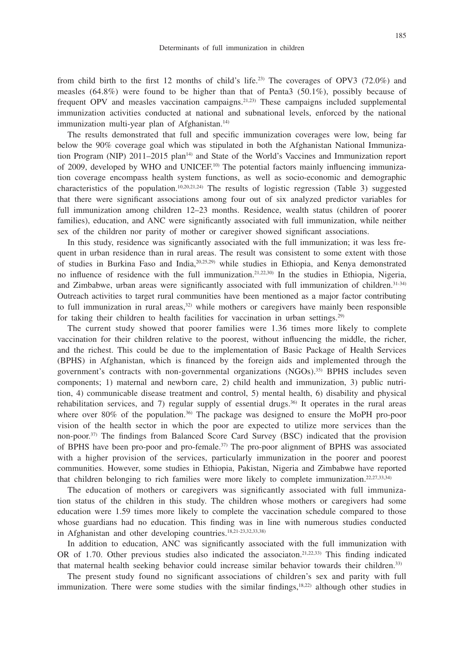from child birth to the first 12 months of child's life.<sup>23)</sup> The coverages of OPV3  $(72.0\%)$  and measles  $(64.8\%)$  were found to be higher than that of Penta3  $(50.1\%)$ , possibly because of frequent OPV and measles vaccination campaigns.21,23) These campaigns included supplemental immunization activities conducted at national and subnational levels, enforced by the national immunization multi-year plan of Afghanistan.<sup>14)</sup>

The results demonstrated that full and specific immunization coverages were low, being far below the 90% coverage goal which was stipulated in both the Afghanistan National Immunization Program (NIP) 2011–2015 plan<sup>14)</sup> and State of the World's Vaccines and Immunization report of 2009, developed by WHO and UNICEF.<sup>10)</sup> The potential factors mainly influencing immunization coverage encompass health system functions, as well as socio-economic and demographic characteristics of the population.<sup>10,20,21,24)</sup> The results of logistic regression (Table 3) suggested that there were significant associations among four out of six analyzed predictor variables for full immunization among children 12–23 months. Residence, wealth status (children of poorer families), education, and ANC were significantly associated with full immunization, while neither sex of the children nor parity of mother or caregiver showed significant associations.

In this study, residence was significantly associated with the full immunization; it was less frequent in urban residence than in rural areas. The result was consistent to some extent with those of studies in Burkina Faso and India,20,25,29) while studies in Ethiopia, and Kenya demonstrated no influence of residence with the full immunization.21,22,30) In the studies in Ethiopia, Nigeria, and Zimbabwe, urban areas were significantly associated with full immunization of children.<sup>31-34)</sup> Outreach activities to target rural communities have been mentioned as a major factor contributing to full immunization in rural areas, $32$ ) while mothers or caregivers have mainly been responsible for taking their children to health facilities for vaccination in urban settings.<sup>29)</sup>

The current study showed that poorer families were 1.36 times more likely to complete vaccination for their children relative to the poorest, without influencing the middle, the richer, and the richest. This could be due to the implementation of Basic Package of Health Services (BPHS) in Afghanistan, which is financed by the foreign aids and implemented through the government's contracts with non-governmental organizations (NGOs).35) BPHS includes seven components; 1) maternal and newborn care, 2) child health and immunization, 3) public nutrition, 4) communicable disease treatment and control, 5) mental health, 6) disability and physical rehabilitation services, and 7) regular supply of essential drugs.<sup>36)</sup> It operates in the rural areas where over 80% of the population.<sup>36)</sup> The package was designed to ensure the MoPH pro-poor vision of the health sector in which the poor are expected to utilize more services than the non-poor.37) The findings from Balanced Score Card Survey (BSC) indicated that the provision of BPHS have been pro-poor and pro-female.37) The pro-poor alignment of BPHS was associated with a higher provision of the services, particularly immunization in the poorer and poorest communities. However, some studies in Ethiopia, Pakistan, Nigeria and Zimbabwe have reported that children belonging to rich families were more likely to complete immunization.22,27,33,34)

The education of mothers or caregivers was significantly associated with full immunization status of the children in this study. The children whose mothers or caregivers had some education were 1.59 times more likely to complete the vaccination schedule compared to those whose guardians had no education. This finding was in line with numerous studies conducted in Afghanistan and other developing countries.18,21-23,32,33,38)

In addition to education, ANC was significantly associated with the full immunization with OR of 1.70. Other previous studies also indicated the associaton.<sup>21,22,33)</sup> This finding indicated that maternal health seeking behavior could increase similar behavior towards their children.33)

The present study found no significant associations of children's sex and parity with full immunization. There were some studies with the similar findings, $18,22$  although other studies in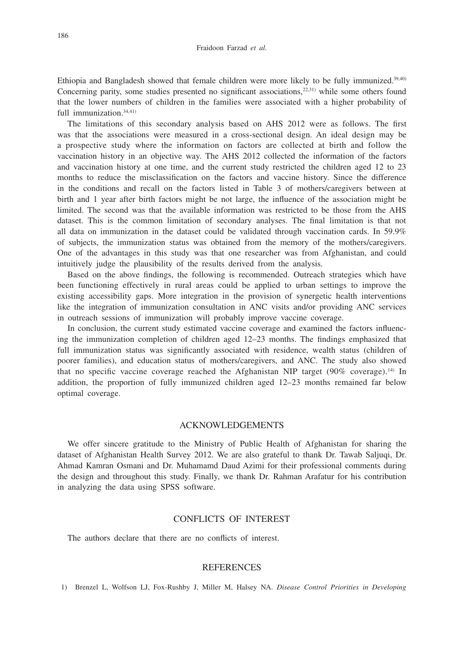Ethiopia and Bangladesh showed that female children were more likely to be fully immunized.39,40) Concerning parity, some studies presented no significant associations, $2^{2,31}$  while some others found that the lower numbers of children in the families were associated with a higher probability of full immunization.<sup>34,41)</sup>

The limitations of this secondary analysis based on AHS 2012 were as follows. The first was that the associations were measured in a cross-sectional design. An ideal design may be a prospective study where the information on factors are collected at birth and follow the vaccination history in an objective way. The AHS 2012 collected the information of the factors and vaccination history at one time, and the current study restricted the children aged 12 to 23 months to reduce the misclassification on the factors and vaccine history. Since the difference in the conditions and recall on the factors listed in Table 3 of mothers/caregivers between at birth and 1 year after birth factors might be not large, the influence of the association might be limited. The second was that the available information was restricted to be those from the AHS dataset. This is the common limitation of secondary analyses. The final limitation is that not all data on immunization in the dataset could be validated through vaccination cards. In 59.9% of subjects, the immunization status was obtained from the memory of the mothers/caregivers. One of the advantages in this study was that one researcher was from Afghanistan, and could intuitively judge the plausibility of the results derived from the analysis.

Based on the above findings, the following is recommended. Outreach strategies which have been functioning effectively in rural areas could be applied to urban settings to improve the existing accessibility gaps. More integration in the provision of synergetic health interventions like the integration of immunization consultation in ANC visits and/or providing ANC services in outreach sessions of immunization will probably improve vaccine coverage.

In conclusion, the current study estimated vaccine coverage and examined the factors influencing the immunization completion of children aged 12–23 months. The findings emphasized that full immunization status was significantly associated with residence, wealth status (children of poorer families), and education status of mothers/caregivers, and ANC. The study also showed that no specific vaccine coverage reached the Afghanistan NIP target  $(90\% \text{ coverage})$ .<sup>14)</sup> In addition, the proportion of fully immunized children aged 12–23 months remained far below optimal coverage.

### ACKNOWLEDGEMENTS

We offer sincere gratitude to the Ministry of Public Health of Afghanistan for sharing the dataset of Afghanistan Health Survey 2012. We are also grateful to thank Dr. Tawab Saljuqi, Dr. Ahmad Kamran Osmani and Dr. Muhamamd Daud Azimi for their professional comments during the design and throughout this study. Finally, we thank Dr. Rahman Arafatur for his contribution in analyzing the data using SPSS software.

#### CONFLICTS OF INTEREST

The authors declare that there are no conflicts of interest.

### REFERENCES

1) Brenzel L, Wolfson LJ, Fox-Rushby J, Miller M, Halsey NA. *Disease Control Priorities in Developing*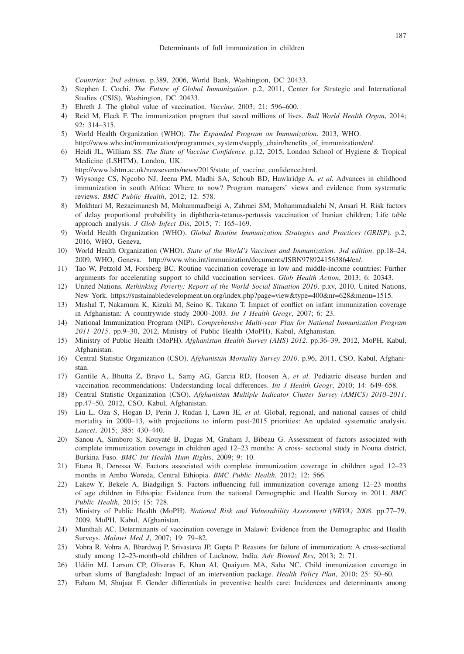*Countries: 2nd edition*. p.389, 2006, World Bank, Washington, DC 20433.

- 2) Stephen L Cochi. *The Future of Global Immunization*. p.2, 2011, Center for Strategic and International Studies (CSIS), Washington, DC 20433.
- 3) Ehreth J. The global value of vaccination. *Vaccine*, 2003; 21: 596–600.
- 4) Reid M, Fleck F. The immunization program that saved millions of lives. *Bull World Health Organ*, 2014; 92: 314–315.
- 5) World Health Organization (WHO). *The Expanded Program on Immunization*. 2013, WHO. http://www.who.int/immunization/programmes\_systems/supply\_chain/benefits\_of\_immunization/en/.
- 6) Heidi JL, William SS. *The State of Vaccine Confidence*. p.12, 2015, London School of Hygiene & Tropical Medicine (LSHTM), London, UK.
	- http://www.lshtm.ac.uk/newsevents/news/2015/state\_of\_vaccine\_confidence.html.
- 7) Wiysonge CS, Ngcobo NJ, Jeena PM, Madhi SA, Schoub BD, Hawkridge A, *et al.* Advances in childhood immunization in south Africa: Where to now? Program managers' views and evidence from systematic reviews. *BMC Public Health*, 2012; 12: 578.
- 8) Mokhtari M, Rezaeimanesh M, Mohammadbeigi A, Zahraei SM, Mohammadsalehi N, Ansari H. Risk factors of delay proportional probability in diphtheria-tetanus-pertussis vaccination of Iranian children; Life table approach analysis. *J Glob Infect Dis*, 2015; 7: 165–169.
- 9) World Health Organization (WHO). *Global Routine Immunization Strategies and Practices (GRISP)*. p.2, 2016, WHO, Geneva.
- 10) World Health Organization (WHO). *State of the World's Vaccines and Immunization: 3rd edition*. pp.18–24, 2009, WHO, Geneva. http://www.who.int/immunization/documents/ISBN9789241563864/en/.
- 11) Tao W, Petzold M, Forsberg BC. Routine vaccination coverage in low and middle-income countries: Further arguments for accelerating support to child vaccination services. *Glob Health Action*, 2013; 6: 20343.
- 12) United Nations. *Rethinking Poverty: Report of the World Social Situation 2010*. p.xv, 2010, United Nations, New York. https://sustainabledevelopment.un.org/index.php?page=view&type=400&nr=628&menu=1515.
- 13) Mashal T, Nakamura K, Kizuki M, Seino K, Takano T. Impact of conflict on infant immunization coverage in Afghanistan: A countrywide study 2000–2003. *Int J Health Geogr*, 2007; 6: 23.
- 14) National Immunization Program (NIP). *Comprehensive Multi-year Plan for National Immunization Program 2011–2015*. pp.9–30, 2012, Ministry of Public Health (MoPH), Kabul, Afghanistan.
- 15) Ministry of Public Health (MoPH). *Afghanistan Health Survey (AHS) 2012*. pp.36–39, 2012, MoPH, Kabul, Afghanistan.
- 16) Central Statistic Organization (CSO). *Afghanistan Mortality Survey 2010*. p.96, 2011, CSO, Kabul, Afghanistan.
- 17) Gentile A, Bhutta Z, Bravo L, Samy AG, Garcia RD, Hoosen A, *et al.* Pediatric disease burden and vaccination recommendations: Understanding local differences. *Int J Health Geogr*, 2010; 14: 649–658.
- 18) Central Statistic Organization (CSO). *Afghanistan Multiple Indicator Cluster Survey (AMICS) 2010–2011*. pp.47–50, 2012, CSO, Kabul, Afghanistan.
- 19) Liu L, Oza S, Hogan D, Perin J, Rudan I, Lawn JE, *et al.* Global, regional, and national causes of child mortality in 2000–13, with projections to inform post-2015 priorities: An updated systematic analysis. *Lancet*, 2015; 385: 430–440.
- 20) Sanou A, Simboro S, Kouyaté B, Dugas M, Graham J, Bibeau G. Assessment of factors associated with complete immunization coverage in children aged 12–23 months: A cross- sectional study in Nouna district, Burkina Faso. *BMC Int Health Hum Rights*, 2009; 9: 10.
- 21) Etana B, Deressa W. Factors associated with complete immunization coverage in children aged 12–23 months in Ambo Woreda, Central Ethiopia. *BMC Public Health*, 2012; 12: 566.
- 22) Lakew Y, Bekele A, Biadgilign S. Factors influencing full immunization coverage among 12–23 months of age children in Ethiopia: Evidence from the national Demographic and Health Survey in 2011. *BMC Public Health*, 2015; 15: 728.
- 23) Ministry of Public Health (MoPH). *National Risk and Vulnerability Assessment (NRVA) 2008*. pp.77–79, 2009, MoPH, Kabul, Afghanistan.
- 24) Munthali AC. Determinants of vaccination coverage in Malawi: Evidence from the Demographic and Health Surveys. *Malawi Med J*, 2007; 19: 79–82.
- 25) Vohra R, Vohra A, Bhardwaj P, Srivastava JP, Gupta P. Reasons for failure of immunization: A cross-sectional study among 12–23-month-old children of Lucknow, India. *Adv Biomed Res*, 2013; 2: 71.
- 26) Uddin MJ, Larson CP, Oliveras E, Khan AI, Quaiyum MA, Saha NC. Child immunization coverage in urban slums of Bangladesh: Impact of an intervention package. *Health Policy Plan*, 2010; 25: 50–60.
- 27) Faham M, Shujaat F. Gender differentials in preventive health care: Incidences and determinants among